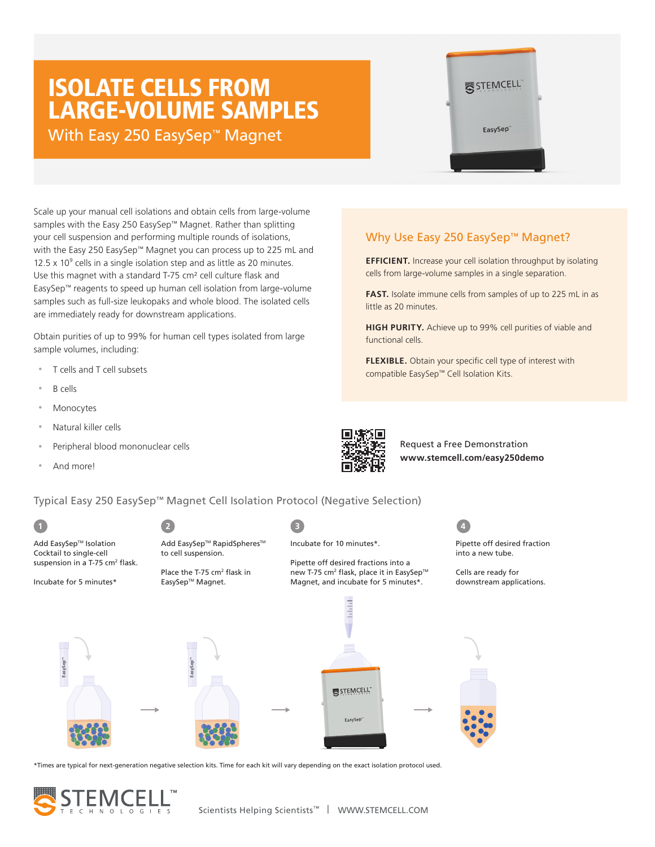# ISOLATE CELLS FROM LARGE-VOLUME SAMPLES

With Easy 250 EasySep<sup>™</sup> Magnet

Scale up your manual cell isolations and obtain cells from large-volume samples with the Easy 250 EasySep™ Magnet. Rather than splitting your cell suspension and performing multiple rounds of isolations, with the Easy 250 EasySep™ Magnet you can process up to 225 mL and 12.5  $\times$  10 $^9$  cells in a single isolation step and as little as 20 minutes. Use this magnet with a standard T-75 cm² cell culture flask and EasySep™ reagents to speed up human cell isolation from large-volume samples such as full-size leukopaks and whole blood. The isolated cells are immediately ready for downstream applications.

Obtain purities of up to 99% for human cell types isolated from large sample volumes, including:

- T cells and T cell subsets
- B cells
- **Monocytes**
- Natural killer cells

Add EasySep**TM**

- Peripheral blood mononuclear cells
- And more!



Incubate for 10 minutes\*.

little as 20 minutes.

functional cells.

Request a Free Demonstration **www.stemcell.com/easy250demo**

Pipette off

Why Use Easy 250 EasySep™ Magnet?

**EFFICIENT.** Increase your cell isolation throughput by isolating cells from large-volume samples in a single separation.

**FAST.** Isolate immune cells from samples of up to 225 mL in as

**HIGH PURITY.** Achieve up to 99% cell purities of viable and

**FLEXIBLE.** Obtain your specific cell type of interest with

compatible EasySep™ Cell Isolation Kits.

Typical Easy 250 EasySep™ Magnet Cell Isolation Protocol (Negative Selection)



\*Times are typical for next-generation negative selection kits. Time for each kit will vary depending on the exact isolation protocol used.